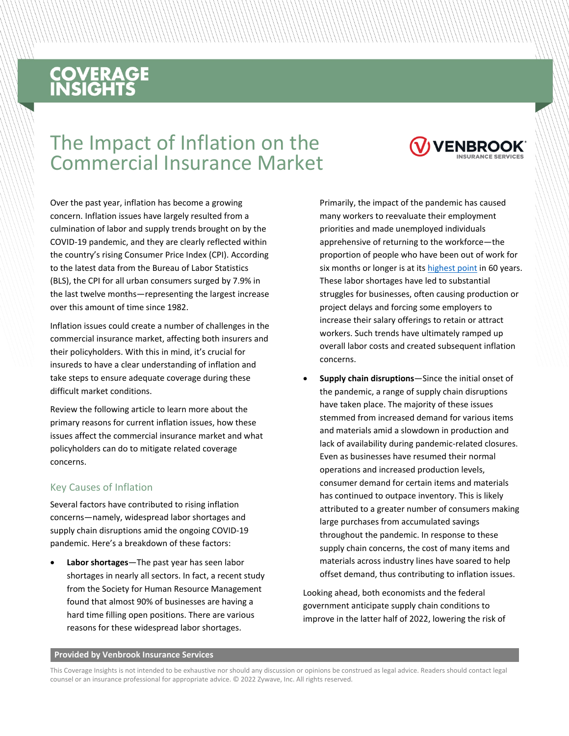# **COVERAGE**<br>INSIGHTS

### The Impact of Inflation on the Commercial Insurance Market



Inflation issues could create a number of challenges in the commercial insurance market, affecting both insurers and their policyholders. With this in mind, it's crucial for insureds to have a clear understanding of inflation and take steps to ensure adequate coverage during these difficult market conditions.

Review the following article to learn more about the primary reasons for current inflation issues, how these issues affect the commercial insurance market and what policyholders can do to mitigate related coverage concerns.

### Key Causes of Inflation

Several factors have contributed to rising inflation concerns—namely, widespread labor shortages and supply chain disruptions amid the ongoing COVID-19 pandemic. Here's a breakdown of these factors:

• **Labor shortages**—The past year has seen labor shortages in nearly all sectors. In fact, a recent study from the Society for Human Resource Management found that almost 90% of businesses are having a hard time filling open positions. There are various reasons for these widespread labor shortages.

Primarily, the impact of the pandemic has caused many workers to reevaluate their employment priorities and made unemployed individuals apprehensive of returning to the workforce—the proportion of people who have been out of work for six months or longer is at its [highest point](https://www.bloomberg.com/news/features/2021-08-05/why-is-u-s-labor-force-shrinking-retirement-boom-opioid-crisis-child-care) in 60 years. These labor shortages have led to substantial struggles for businesses, often causing production or project delays and forcing some employers to increase their salary offerings to retain or attract workers. Such trends have ultimately ramped up overall labor costs and created subsequent inflation concerns.

• **Supply chain disruptions**—Since the initial onset of the pandemic, a range of supply chain disruptions have taken place. The majority of these issues stemmed from increased demand for various items and materials amid a slowdown in production and lack of availability during pandemic-related closures. Even as businesses have resumed their normal operations and increased production levels, consumer demand for certain items and materials has continued to outpace inventory. This is likely attributed to a greater number of consumers making large purchases from accumulated savings throughout the pandemic. In response to these supply chain concerns, the cost of many items and materials across industry lines have soared to help offset demand, thus contributing to inflation issues.

Looking ahead, both economists and the federal government anticipate supply chain conditions to improve in the latter half of 2022, lowering the risk of

#### **Provided by Venbrook Insurance Services**

This Coverage Insights is not intended to be exhaustive nor should any discussion or opinions be construed as legal advice. Readers should contact legal counsel or an insurance professional for appropriate advice. © 2022 Zywave, Inc. All rights reserved.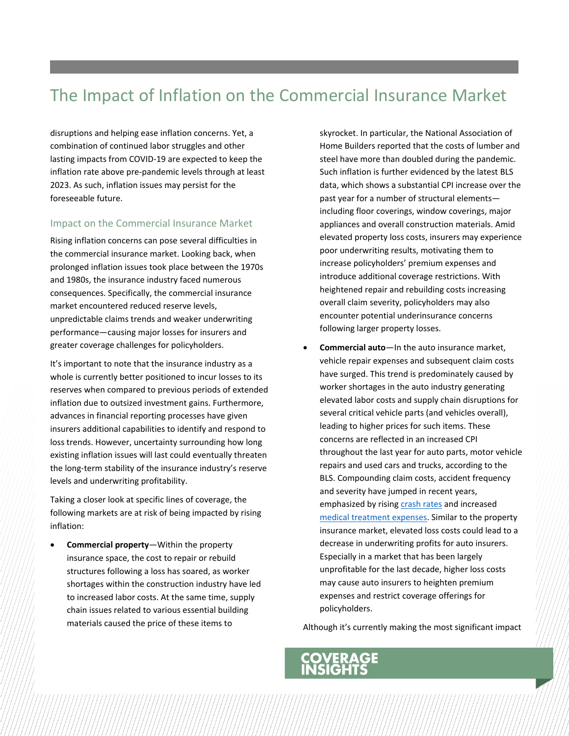### The Impact of Inflation on the Commercial Insurance Market

disruptions and helping ease inflation concerns. Yet, a combination of continued labor struggles and other lasting impacts from COVID-19 are expected to keep the inflation rate above pre-pandemic levels through at least 2023. As such, inflation issues may persist for the foreseeable future.

#### Impact on the Commercial Insurance Market

Rising inflation concerns can pose several difficulties in the commercial insurance market. Looking back, when prolonged inflation issues took place between the 1970s and 1980s, the insurance industry faced numerous consequences. Specifically, the commercial insurance market encountered reduced reserve levels, unpredictable claims trends and weaker underwriting performance—causing major losses for insurers and greater coverage challenges for policyholders.

It's important to note that the insurance industry as a whole is currently better positioned to incur losses to its reserves when compared to previous periods of extended inflation due to outsized investment gains. Furthermore, advances in financial reporting processes have given insurers additional capabilities to identify and respond to loss trends. However, uncertainty surrounding how long existing inflation issues will last could eventually threaten the long-term stability of the insurance industry's reserve levels and underwriting profitability.

Taking a closer look at specific lines of coverage, the following markets are at risk of being impacted by rising inflation:

• **Commercial property**—Within the property insurance space, the cost to repair or rebuild structures following a loss has soared, as worker shortages within the construction industry have led to increased labor costs. At the same time, supply chain issues related to various essential building materials caused the price of these items to

skyrocket. In particular, the National Association of Home Builders reported that the costs of lumber and steel have more than doubled during the pandemic. Such inflation is further evidenced by the latest BLS data, which shows a substantial CPI increase over the past year for a number of structural elements including floor coverings, window coverings, major appliances and overall construction materials. Amid elevated property loss costs, insurers may experience poor underwriting results, motivating them to increase policyholders' premium expenses and introduce additional coverage restrictions. With heightened repair and rebuilding costs increasing overall claim severity, policyholders may also encounter potential underinsurance concerns following larger property losses.

• **Commercial auto**—In the auto insurance market, vehicle repair expenses and subsequent claim costs have surged. This trend is predominately caused by worker shortages in the auto industry generating elevated labor costs and supply chain disruptions for several critical vehicle parts (and vehicles overall), leading to higher prices for such items. These concerns are reflected in an increased CPI throughout the last year for auto parts, motor vehicle repairs and used cars and trucks, according to the BLS. Compounding claim costs, accident frequency and severity have jumped in recent years, emphasized by rising [crash rates](https://www.nhtsa.gov/sites/nhtsa.gov/files/2021-09/Early-Estimate-Motor-Vehicle-Traffic-Fatalities-Q1-2021.pdf) and increased [medical treatment expenses.](https://ycharts.com/indicators/us_health_care_inflation_rate) Similar to the property insurance market, elevated loss costs could lead to a decrease in underwriting profits for auto insurers. Especially in a market that has been largely unprofitable for the last decade, higher loss costs may cause auto insurers to heighten premium expenses and restrict coverage offerings for policyholders.

Although it's currently making the most significant impact

## **ERAGE**